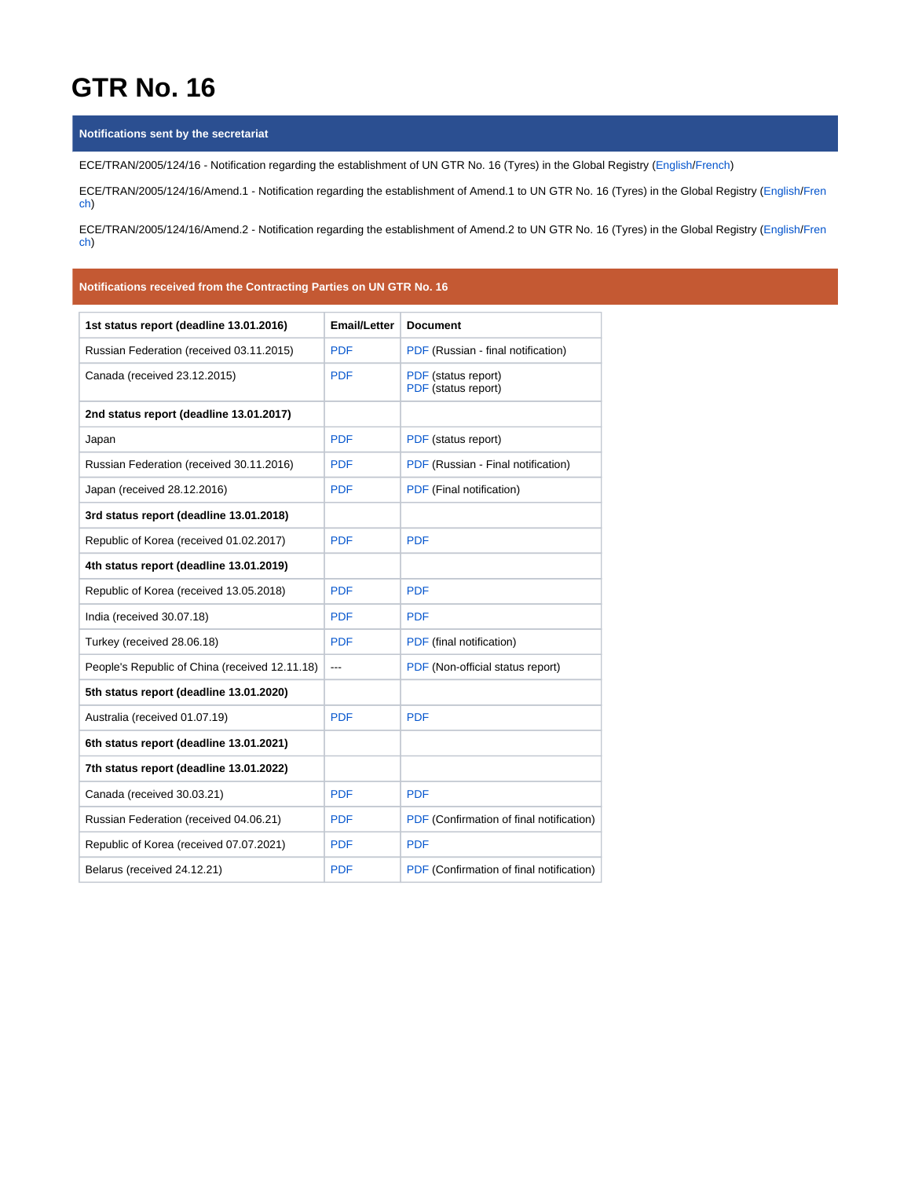# **GTR No. 16**

#### **Notifications sent by the secretariat**

ECE/TRAN/2005/124/16 - Notification regarding the establishment of UN GTR No. 16 (Tyres) in the Global Registry ([English](https://wiki.unece.org/download/attachments/60360352/ECE-TRAN-2005-124-16e.pdf?version=1&modificationDate=1523361792295&api=v2)/[French\)](https://wiki.unece.org/download/attachments/60360352/ECE-TRAN-2005-124-16f.pdf?version=1&modificationDate=1523361851973&api=v2)

ECE/TRAN/2005/124/16/Amend.1 - Notification regarding the establishment of Amend.1 to UN GTR No. 16 (Tyres) in the Global Registry [\(English](https://wiki.unece.org/download/attachments/60360352/ECE-TRAN-2005-124-16a1e.pdf?version=1&modificationDate=1523361792081&api=v2)[/Fren](https://wiki.unece.org/download/attachments/60360352/ECE-TRAN-2005-124-16a1f.pdf?version=1&modificationDate=1523361792489&api=v2) [ch](https://wiki.unece.org/download/attachments/60360352/ECE-TRAN-2005-124-16a1f.pdf?version=1&modificationDate=1523361792489&api=v2))

ECE/TRAN/2005/124/16/Amend.2 - Notification regarding the establishment of Amend.2 to UN GTR No. 16 (Tyres) in the Global Registry [\(English](https://wiki.unece.org/download/attachments/60360352/ECE-TRAN-2005-124-16a2e.pdf?version=1&modificationDate=1602834233465&api=v2)[/Fren](https://wiki.unece.org/download/attachments/60360352/ECE-TRAN-2005-124-16a2f.pdf?version=1&modificationDate=1602834258289&api=v2) [ch](https://wiki.unece.org/download/attachments/60360352/ECE-TRAN-2005-124-16a2f.pdf?version=1&modificationDate=1602834258289&api=v2))

### **Notifications received from the Contracting Parties on UN GTR No. 16**

| 1st status report (deadline 13.01.2016)        | <b>Email/Letter</b> | <b>Document</b>                            |
|------------------------------------------------|---------------------|--------------------------------------------|
| Russian Federation (received 03.11.2015)       | <b>PDF</b>          | PDF (Russian - final notification)         |
| Canada (received 23.12.2015)                   | <b>PDF</b>          | PDF (status report)<br>PDF (status report) |
| 2nd status report (deadline 13.01.2017)        |                     |                                            |
| Japan                                          | <b>PDF</b>          | PDF (status report)                        |
| Russian Federation (received 30.11.2016)       | <b>PDF</b>          | PDF (Russian - Final notification)         |
| Japan (received 28.12.2016)                    | <b>PDF</b>          | PDF (Final notification)                   |
| 3rd status report (deadline 13.01.2018)        |                     |                                            |
| Republic of Korea (received 01.02.2017)        | <b>PDF</b>          | <b>PDF</b>                                 |
| 4th status report (deadline 13.01.2019)        |                     |                                            |
| Republic of Korea (received 13.05.2018)        | <b>PDF</b>          | <b>PDF</b>                                 |
| India (received 30.07.18)                      | <b>PDF</b>          | <b>PDF</b>                                 |
| Turkey (received 28.06.18)                     | <b>PDF</b>          | PDF (final notification)                   |
| People's Republic of China (received 12.11.18) | ---                 | PDF (Non-official status report)           |
| 5th status report (deadline 13.01.2020)        |                     |                                            |
| Australia (received 01.07.19)                  | <b>PDF</b>          | <b>PDF</b>                                 |
| 6th status report (deadline 13.01.2021)        |                     |                                            |
| 7th status report (deadline 13.01.2022)        |                     |                                            |
| Canada (received 30.03.21)                     | <b>PDF</b>          | <b>PDF</b>                                 |
| Russian Federation (received 04.06.21)         | <b>PDF</b>          | PDF (Confirmation of final notification)   |
| Republic of Korea (received 07.07.2021)        | <b>PDF</b>          | <b>PDF</b>                                 |
| Belarus (received 24.12.21)                    | <b>PDF</b>          | PDF (Confirmation of final notification)   |